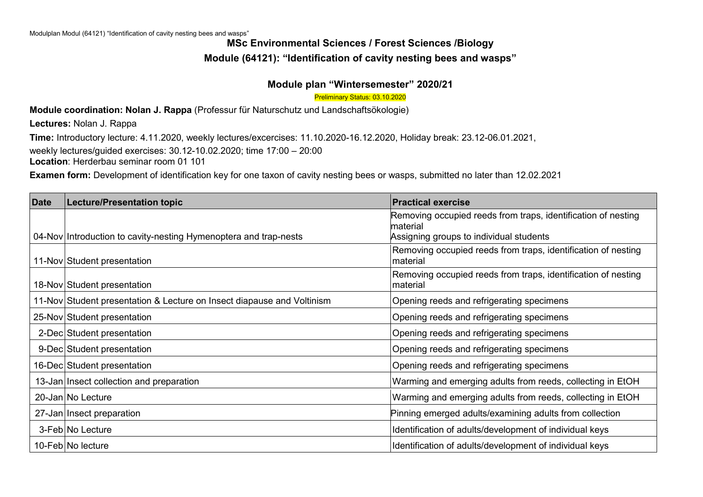# **MSc Environmental Sciences / Forest Sciences /Biology Module (64121): "Identification of cavity nesting bees and wasps"**

#### **Module plan "Wintersemester" 2020/21**

Preliminary Status: 03.10.2020

**Module coordination: Nolan J. Rappa** (Professur für Naturschutz und Landschaftsökologie)

**Lectures:** Nolan J. Rappa

**Time:** Introductory lecture: 4.11.2020, weekly lectures/excercises: 11.10.2020-16.12.2020, Holiday break: 23.12-06.01.2021,

weekly lectures/guided exercises: 30.12-10.02.2020; time 17:00 – 20:00

**Location**: Herderbau seminar room 01 101

**Examen form:** Development of identification key for one taxon of cavity nesting bees or wasps, submitted no later than 12.02.2021

| <b>Date</b> | <b>Lecture/Presentation topic</b>                                      | <b>Practical exercise</b>                                                 |
|-------------|------------------------------------------------------------------------|---------------------------------------------------------------------------|
|             |                                                                        | Removing occupied reeds from traps, identification of nesting<br>material |
|             | 04-Nov Introduction to cavity-nesting Hymenoptera and trap-nests       | Assigning groups to individual students                                   |
|             | 11-Nov Student presentation                                            | Removing occupied reeds from traps, identification of nesting<br>material |
|             | 18-Nov Student presentation                                            | Removing occupied reeds from traps, identification of nesting<br>material |
|             | 11-Nov Student presentation & Lecture on Insect diapause and Voltinism | Opening reeds and refrigerating specimens                                 |
|             | 25-Nov Student presentation                                            | Opening reeds and refrigerating specimens                                 |
|             | 2-Dec Student presentation                                             | Opening reeds and refrigerating specimens                                 |
|             | 9-Dec Student presentation                                             | Opening reeds and refrigerating specimens                                 |
|             | 16-Dec Student presentation                                            | Opening reeds and refrigerating specimens                                 |
|             | 13-Jan Insect collection and preparation                               | Warming and emerging adults from reeds, collecting in EtOH                |
|             | 20-Jan No Lecture                                                      | Warming and emerging adults from reeds, collecting in EtOH                |
|             | 27-Jan Insect preparation                                              | Pinning emerged adults/examining adults from collection                   |
|             | 3-Feb No Lecture                                                       | Identification of adults/development of individual keys                   |
|             | 10-Feb No lecture                                                      | Identification of adults/development of individual keys                   |